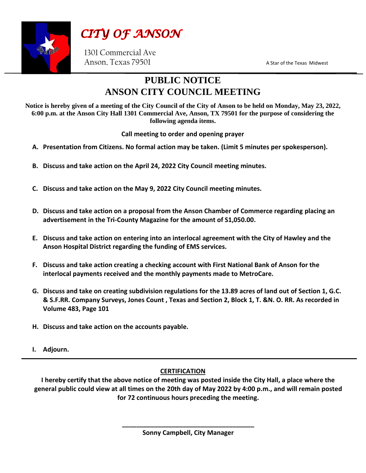

CITY OF ANSON

1301 Commercial Ave Anson, Texas 79501 A Star of the Texas Midwest

## **PUBLIC NOTICE ANSON CITY COUNCIL MEETING**

**Notice is hereby given of a meeting of the City Council of the City of Anson to be held on Monday, May 23, 2022, 6:00 p.m. at the Anson City Hall 1301 Commercial Ave, Anson, TX 79501 for the purpose of considering the following agenda items.**

**Call meeting to order and opening prayer**

- **A. Presentation from Citizens. No formal action may be taken. (Limit 5 minutes per spokesperson).**
- **B. Discuss and take action on the April 24, 2022 City Council meeting minutes.**
- **C. Discuss and take action on the May 9, 2022 City Council meeting minutes.**
- **D. Discuss and take action on a proposal from the Anson Chamber of Commerce regarding placing an advertisement in the Tri-County Magazine for the amount of S1,050.00.**
- **E. Discuss and take action on entering into an interlocal agreement with the City of Hawley and the Anson Hospital District regarding the funding of EMS services.**
- **F. Discuss and take action creating a checking account with First National Bank of Anson for the interlocal payments received and the monthly payments made to MetroCare.**
- **G. Discuss and take on creating subdivision regulations for the 13.89 acres of land out of Section 1, G.C. & S.F.RR. Company Surveys, Jones Count , Texas and Section 2, Block 1, T. &N. O. RR. As recorded in Volume 483, Page 101**
- **H. Discuss and take action on the accounts payable.**
- **I. Adjourn.**

## **CERTIFICATION**

**I hereby certify that the above notice of meeting was posted inside the City Hall, a place where the general public could view at all times on the 20th day of May 2022 by 4:00 p.m., and will remain posted for 72 continuous hours preceding the meeting.**